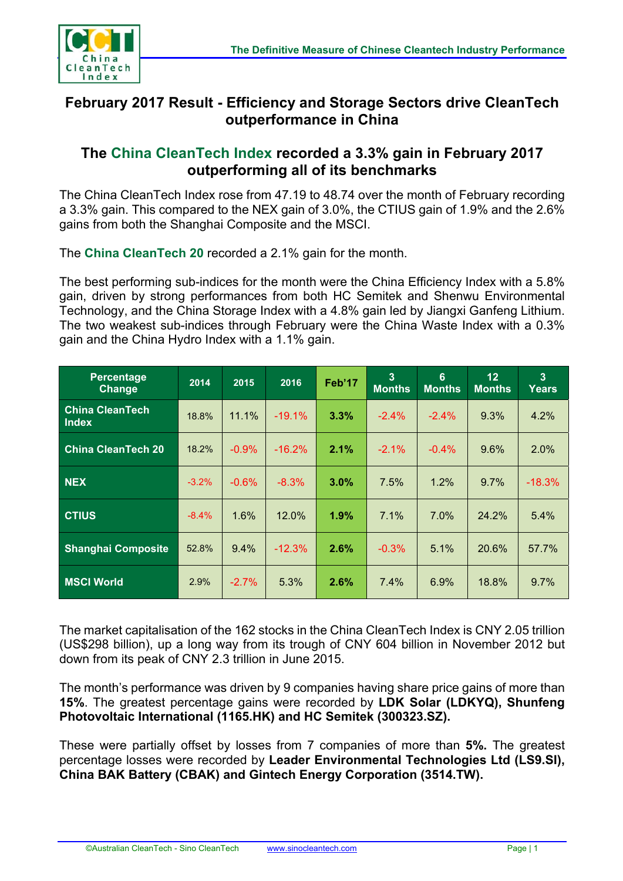

## **February 2017 Result - Efficiency and Storage Sectors drive CleanTech outperformance in China**

## **The China CleanTech Index recorded a 3.3% gain in February 2017 outperforming all of its benchmarks**

The China CleanTech Index rose from 47.19 to 48.74 over the month of February recording a 3.3% gain. This compared to the NEX gain of 3.0%, the CTIUS gain of 1.9% and the 2.6% gains from both the Shanghai Composite and the MSCI.

The **China CleanTech 20** recorded a 2.1% gain for the month.

The best performing sub-indices for the month were the China Efficiency Index with a 5.8% gain, driven by strong performances from both HC Semitek and Shenwu Environmental Technology, and the China Storage Index with a 4.8% gain led by Jiangxi Ganfeng Lithium. The two weakest sub-indices through February were the China Waste Index with a 0.3% gain and the China Hydro Index with a 1.1% gain.

| <b>Percentage</b><br>Change            | 2014    | 2015    | 2016     | Feb'17 | $\overline{3}$<br><b>Months</b> | $6\phantom{a}$<br><b>Months</b> | 12<br><b>Months</b> | 3 <sup>2</sup><br>Years |
|----------------------------------------|---------|---------|----------|--------|---------------------------------|---------------------------------|---------------------|-------------------------|
| <b>China CleanTech</b><br><b>Index</b> | 18.8%   | 11.1%   | $-19.1%$ | 3.3%   | $-2.4\%$                        | $-2.4%$                         | 9.3%                | 4.2%                    |
| <b>China CleanTech 20</b>              | 18.2%   | $-0.9%$ | $-16.2%$ | 2.1%   | $-2.1%$                         | $-0.4%$                         | 9.6%                | 2.0%                    |
| <b>NEX</b>                             | $-3.2%$ | $-0.6%$ | $-8.3%$  | 3.0%   | $7.5\%$                         | 1.2%                            | $9.7\%$             | $-18.3%$                |
| <b>CTIUS</b>                           | $-8.4%$ | 1.6%    | 12.0%    | 1.9%   | 7.1%                            | 7.0%                            | 24.2%               | 5.4%                    |
| <b>Shanghai Composite</b>              | 52.8%   | 9.4%    | $-12.3%$ | 2.6%   | $-0.3%$                         | 5.1%                            | 20.6%               | 57.7%                   |
| <b>MSCI World</b>                      | 2.9%    | $-2.7%$ | 5.3%     | 2.6%   | $7.4\%$                         | 6.9%                            | 18.8%               | 9.7%                    |

The market capitalisation of the 162 stocks in the China CleanTech Index is CNY 2.05 trillion (US\$298 billion), up a long way from its trough of CNY 604 billion in November 2012 but down from its peak of CNY 2.3 trillion in June 2015.

The month's performance was driven by 9 companies having share price gains of more than **15%**. The greatest percentage gains were recorded by **LDK Solar (LDKYQ), Shunfeng Photovoltaic International (1165.HK) and HC Semitek (300323.SZ).**

These were partially offset by losses from 7 companies of more than **5%.** The greatest percentage losses were recorded by **Leader Environmental Technologies Ltd (LS9.SI), China BAK Battery (CBAK) and Gintech Energy Corporation (3514.TW).**